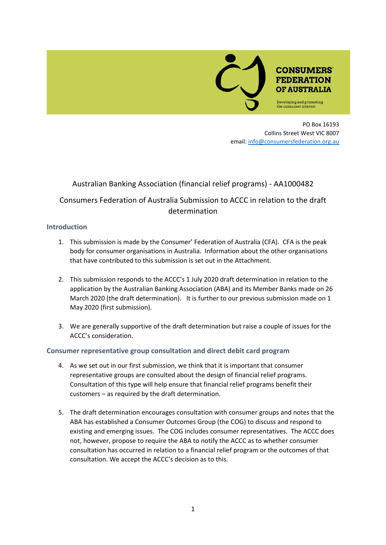

PO Box 16193 Collins Street West VIC 8007 email: [info@consumersfederation.org.au](mailto:info@consumersfederation.org.au)

## Australian Banking Association (financial relief programs) - AA1000482

# Consumers Federation of Australia Submission to ACCC in relation to the draft determination

#### **Introduction**

- 1. This submission is made by the Consumer' Federation of Australia (CFA). CFA is the peak body for consumer organisations in Australia. Information about the other organisations that have contributed to this submission is set out in the Attachment.
- 2. This submission responds to the ACCC's 1 July 2020 draft determination in relation to the application by the Australian Banking Association (ABA) and its Member Banks made on 26 March 2020 (the draft determination). It is further to our previous submission made on 1 May 2020 (first submission).
- 3. We are generally supportive of the draft determination but raise a couple of issues for the ACCC's consideration.

### **Consumer representative group consultation and direct debit card program**

- 4. As we set out in our first submission, we think that it is important that consumer representative groups are consulted about the design of financial relief programs. Consultation of this type will help ensure that financial relief programs benefit their customers – as required by the draft determination.
- 5. The draft determination encourages consultation with consumer groups and notes that the ABA has established a Consumer Outcomes Group (the COG) to discuss and respond to existing and emerging issues. The COG includes consumer representatives. The ACCC does not, however, propose to require the ABA to notify the ACCC as to whether consumer consultation has occurred in relation to a financial relief program or the outcomes of that consultation. We accept the ACCC's decision as to this.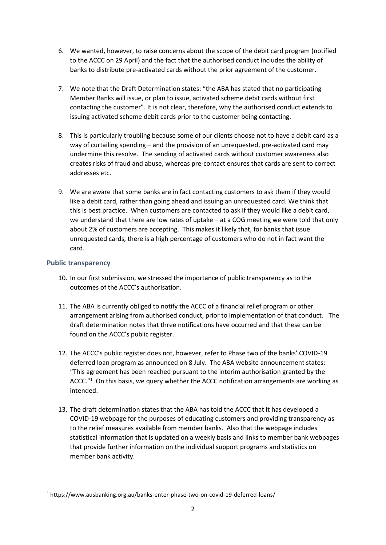- 6. We wanted, however, to raise concerns about the scope of the debit card program (notified to the ACCC on 29 April) and the fact that the authorised conduct includes the ability of banks to distribute pre-activated cards without the prior agreement of the customer.
- 7. We note that the Draft Determination states: "the ABA has stated that no participating Member Banks will issue, or plan to issue, activated scheme debit cards without first contacting the customer". It is not clear, therefore, why the authorised conduct extends to issuing activated scheme debit cards prior to the customer being contacting.
- 8. This is particularly troubling because some of our clients choose not to have a debit card as a way of curtailing spending – and the provision of an unrequested, pre-activated card may undermine this resolve. The sending of activated cards without customer awareness also creates risks of fraud and abuse, whereas pre-contact ensures that cards are sent to correct addresses etc.
- 9. We are aware that some banks are in fact contacting customers to ask them if they would like a debit card, rather than going ahead and issuing an unrequested card. We think that this is best practice. When customers are contacted to ask if they would like a debit card, we understand that there are low rates of uptake – at a COG meeting we were told that only about 2% of customers are accepting. This makes it likely that, for banks that issue unrequested cards, there is a high percentage of customers who do not in fact want the card.

#### **Public transparency**

- 10. In our first submission, we stressed the importance of public transparency as to the outcomes of the ACCC's authorisation.
- 11. The ABA is currently obliged to notify the ACCC of a financial relief program or other arrangement arising from authorised conduct, prior to implementation of that conduct. The draft determination notes that three notifications have occurred and that these can be found on the ACCC's public register.
- 12. The ACCC's public register does not, however, refer to Phase two of the banks' COVID-19 deferred loan program as announced on 8 July. The ABA website announcement states: "This agreement has been reached pursuant to the interim authorisation granted by the ACCC. $"^1$  On this basis, we query whether the ACCC notification arrangements are working as intended.
- 13. The draft determination states that the ABA has told the ACCC that it has developed a COVID-19 webpage for the purposes of educating customers and providing transparency as to the relief measures available from member banks. Also that the webpage includes statistical information that is updated on a weekly basis and links to member bank webpages that provide further information on the individual support programs and statistics on member bank activity.

<sup>1</sup> https://www.ausbanking.org.au/banks-enter-phase-two-on-covid-19-deferred-loans/